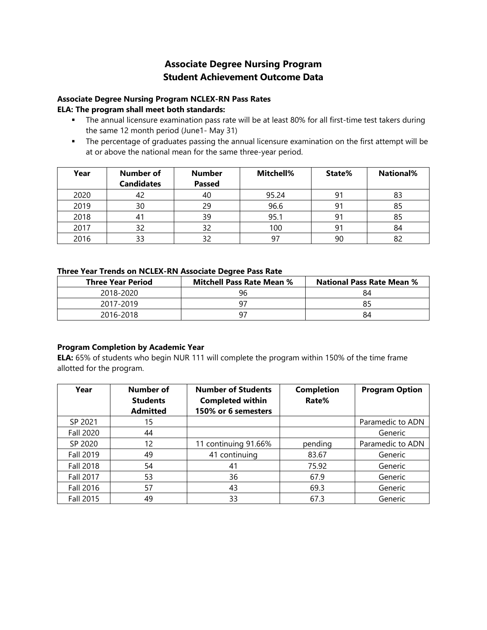# **Student Achievement Outcome Data Associate Degree Nursing Program**

#### **Associate Degree Nursing Program NCLEX-RN Pass Rates ELA: The program shall meet both standards:**

- The annual licensure examination pass rate will be at least 80% for all first-time test takers during the same 12 month period (June1- May 31)
- The percentage of graduates passing the annual licensure examination on the first attempt will be at or above the national mean for the same three-year period.

| Year | Number of<br><b>Candidates</b> | <b>Number</b><br><b>Passed</b> | Mitchell% | State% | <b>National%</b> |
|------|--------------------------------|--------------------------------|-----------|--------|------------------|
| 2020 | 42                             | 40                             | 95.24     | 91     | 83               |
| 2019 | 30                             | 29                             | 96.6      | 91     | 85               |
| 2018 |                                | 39                             | 95.1      | 91     | 85               |
| 2017 | 32                             | 32                             | 100       | 91     | 84               |
| 2016 | 33                             | 32                             | 97        | 90     | 82               |

#### **Three Year Trends on NCLEX-RN Associate Degree Pass Rate**

| <b>Three Year Period</b> | <b>Mitchell Pass Rate Mean %</b> | <b>National Pass Rate Mean %</b> |
|--------------------------|----------------------------------|----------------------------------|
| 2018-2020                | 96                               | 84                               |
| 2017-2019                |                                  |                                  |
| 2016-2018                |                                  | 84                               |

### **Program Completion by Academic Year**

**ELA:** 65% of students who begin NUR 111 will complete the program within 150% of the time frame allotted for the program.

| Year             | Number of<br><b>Students</b><br><b>Admitted</b> | <b>Number of Students</b><br><b>Completed within</b><br>150% or 6 semesters | <b>Completion</b><br>Rate% | <b>Program Option</b> |
|------------------|-------------------------------------------------|-----------------------------------------------------------------------------|----------------------------|-----------------------|
| SP 2021          | 15                                              |                                                                             |                            | Paramedic to ADN      |
| <b>Fall 2020</b> | 44                                              |                                                                             |                            | Generic               |
| SP 2020          | 12                                              | 11 continuing 91.66%                                                        | pending                    | Paramedic to ADN      |
| <b>Fall 2019</b> | 49                                              | 41 continuing                                                               | 83.67                      | Generic               |
| <b>Fall 2018</b> | 54                                              | 41                                                                          | 75.92                      | Generic               |
| <b>Fall 2017</b> | 53                                              | 36                                                                          | 67.9                       | Generic               |
| <b>Fall 2016</b> | 57                                              | 43                                                                          | 69.3                       | Generic               |
| <b>Fall 2015</b> | 49                                              | 33                                                                          | 67.3                       | Generic               |